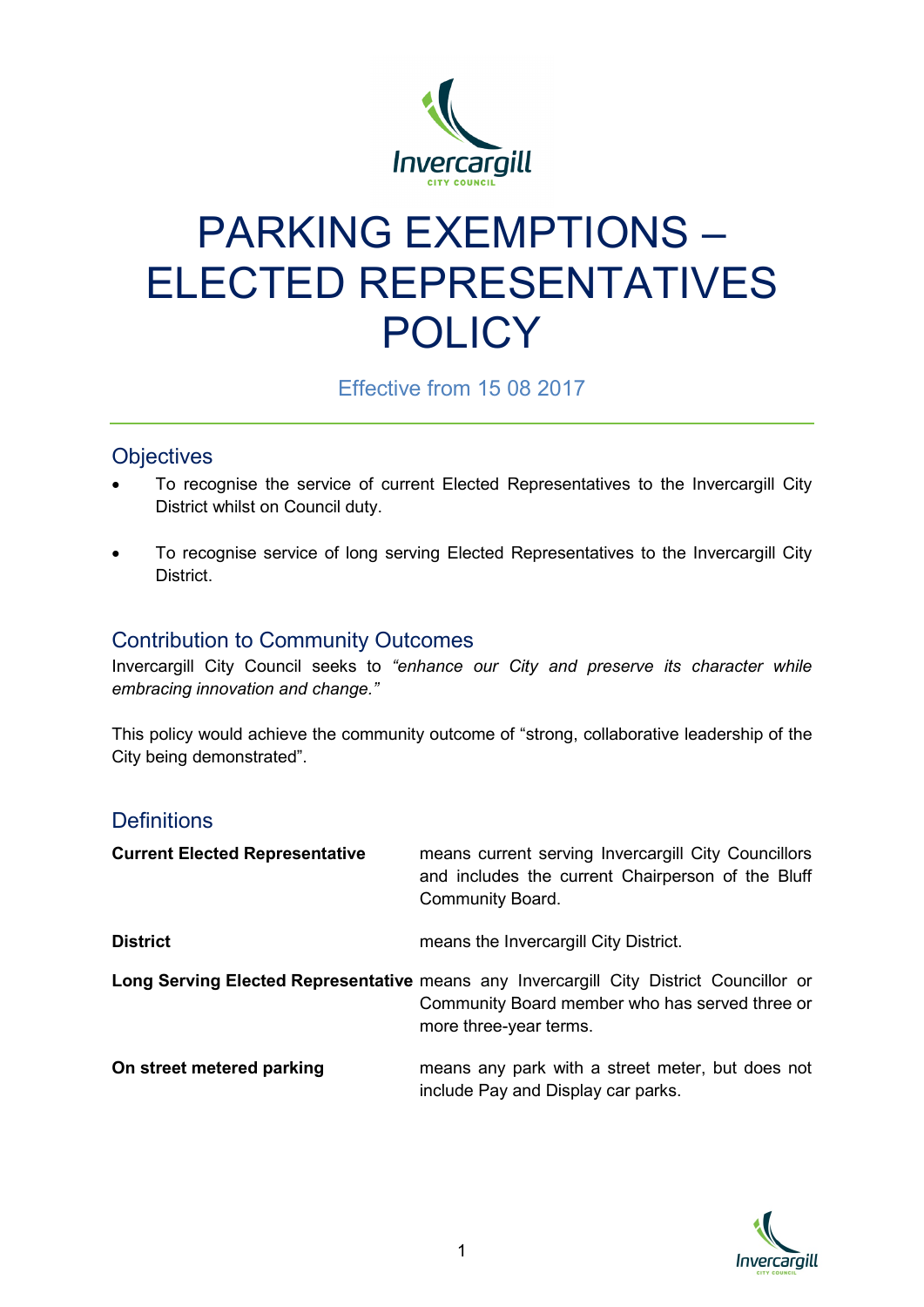

# PARKING EXEMPTIONS – ELECTED REPRESENTATIVES **POLICY**

Effective from 15 08 2017

## **Objectives**

- To recognise the service of current Elected Representatives to the Invercargill City District whilst on Council duty.
- To recognise service of long serving Elected Representatives to the Invercargill City District.

## Contribution to Community Outcomes

Invercargill City Council seeks to *"enhance our City and preserve its character while embracing innovation and change."*

This policy would achieve the community outcome of "strong, collaborative leadership of the City being demonstrated".

#### **Definitions**

| <b>Current Elected Representative</b> | means current serving Invercargill City Councillors<br>and includes the current Chairperson of the Bluff<br>Community Board.                                       |
|---------------------------------------|--------------------------------------------------------------------------------------------------------------------------------------------------------------------|
| <b>District</b>                       | means the Invercargill City District.                                                                                                                              |
|                                       | Long Serving Elected Representative means any Invercargill City District Councillor or<br>Community Board member who has served three or<br>more three-year terms. |
| On street metered parking             | means any park with a street meter, but does not<br>include Pay and Display car parks.                                                                             |

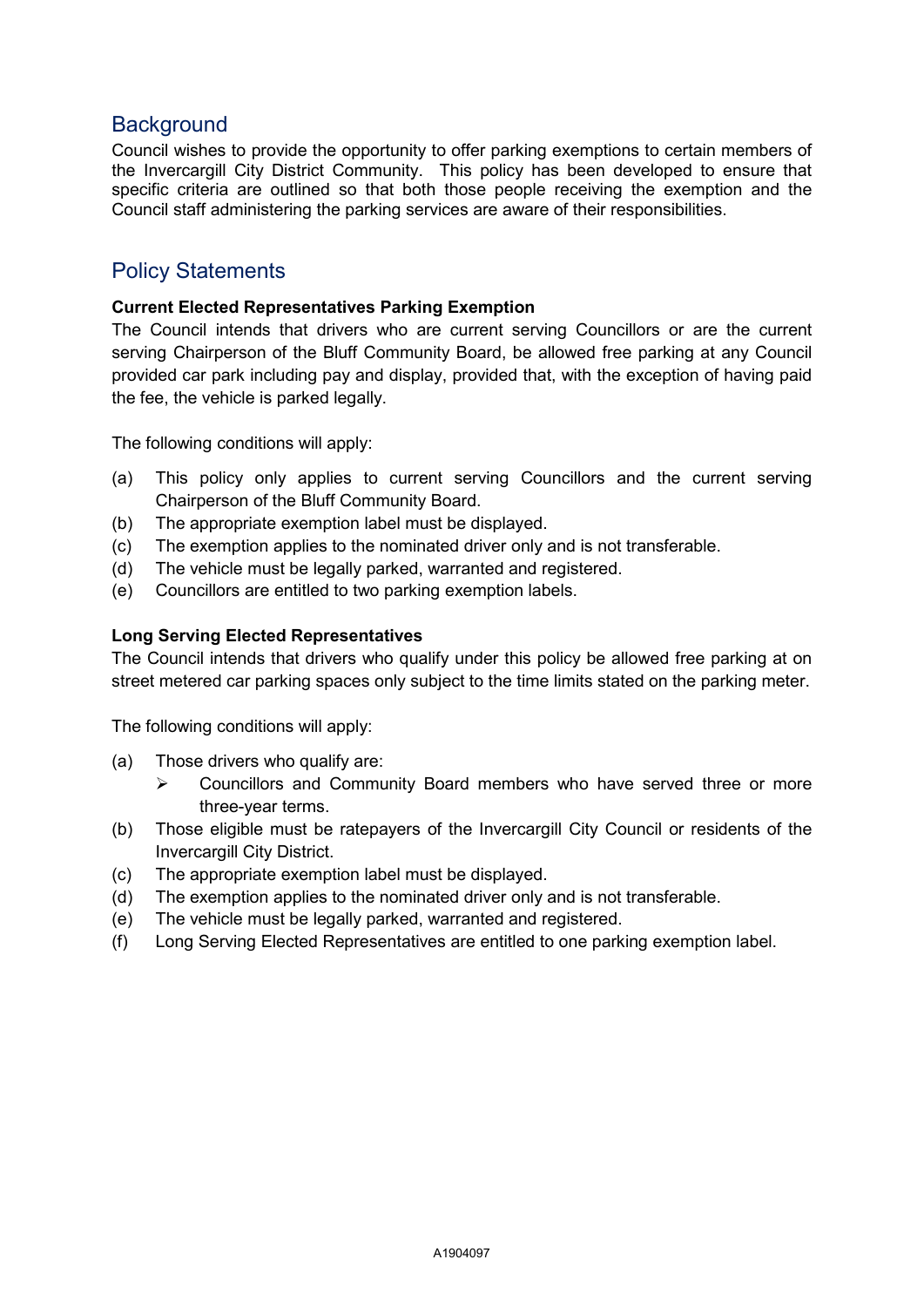#### **Background**

Council wishes to provide the opportunity to offer parking exemptions to certain members of the Invercargill City District Community. This policy has been developed to ensure that specific criteria are outlined so that both those people receiving the exemption and the Council staff administering the parking services are aware of their responsibilities.

#### Policy Statements

#### **Current Elected Representatives Parking Exemption**

The Council intends that drivers who are current serving Councillors or are the current serving Chairperson of the Bluff Community Board, be allowed free parking at any Council provided car park including pay and display, provided that, with the exception of having paid the fee, the vehicle is parked legally.

The following conditions will apply:

- (a) This policy only applies to current serving Councillors and the current serving Chairperson of the Bluff Community Board.
- (b) The appropriate exemption label must be displayed.
- (c) The exemption applies to the nominated driver only and is not transferable.
- (d) The vehicle must be legally parked, warranted and registered.
- (e) Councillors are entitled to two parking exemption labels.

#### **Long Serving Elected Representatives**

The Council intends that drivers who qualify under this policy be allowed free parking at on street metered car parking spaces only subject to the time limits stated on the parking meter.

The following conditions will apply:

- (a) Those drivers who qualify are:
	- Councillors and Community Board members who have served three or more three-year terms.
- (b) Those eligible must be ratepayers of the Invercargill City Council or residents of the Invercargill City District.
- (c) The appropriate exemption label must be displayed.
- (d) The exemption applies to the nominated driver only and is not transferable.
- (e) The vehicle must be legally parked, warranted and registered.
- (f) Long Serving Elected Representatives are entitled to one parking exemption label.